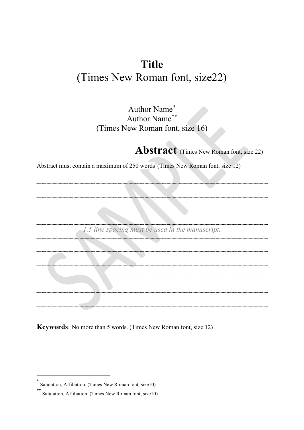# **Title**  (Times New Roman font, size22)

Author Name[\\*](#page-0-0) Author Name[\\*\\*](#page-0-1) (Times New Roman font, size 16)

**Abstract** (Times New Roman font, size 22)

Abstract must contain a maximum of 250 words (Times New Roman font, size 12)

*1.5 line spacing must be used in the manuscript.*

**Keywords**: No more than 5 words. (Times New Roman font, size 12)

-

<span id="page-0-1"></span><span id="page-0-0"></span>Salutation, Affiliation. (Times New Roman font, size10)

Salutation, Affiliation. (Times New Roman font, size10)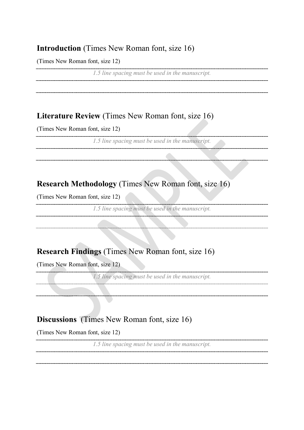### **Introduction** (Times New Roman font, size 16)

(Times New Roman font, size 12)

*1.5 line spacing must be used in the manuscript.*

## **Literature Review** (Times New Roman font, size 16)

(Times New Roman font, size 12)

*1.5 line spacing must be used in the manuscript.*

# **Research Methodology** (Times New Roman font, size 16)

(Times New Roman font, size 12)

*1.5 line spacing must be used in the manuscript.* 

# **Research Findings** (Times New Roman font, size 16)

(Times New Roman font, size 12)

*1.5 line spacing must be used in the manuscript.*

## **Discussions** (Times New Roman font, size 16)

(Times New Roman font, size 12)

*1.5 line spacing must be used in the manuscript.*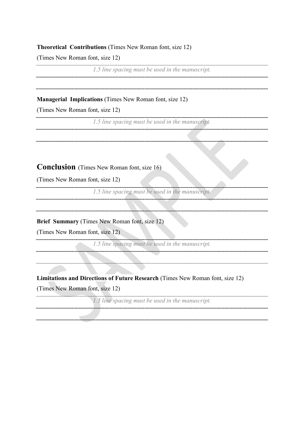#### **Theoretical Contributions** (Times New Roman font, size 12)

(Times New Roman font, size 12)

*1.5 line spacing must be used in the manuscript.*

#### **Managerial Implications** (Times New Roman font, size 12)

(Times New Roman font, size 12)

*1.5 line spacing must be used in the manuscript.*

### **Conclusion** (Times New Roman font, size 16)

(Times New Roman font, size 12)

*1.5 line spacing must be used in the manuscript.*

**Brief Summary** (Times New Roman font, size 12)

(Times New Roman font, size 12)

*1.5 line spacing must be used in the manuscript.*

#### **Limitations and Directions of Future Research** (Times New Roman font, size 12)

(Times New Roman font, size 12)

*1.5 line spacing must be used in the manuscript.*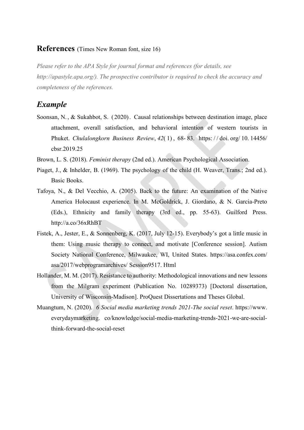#### **References** (Times New Roman font, size 16)

*Please refer to the APA Style for journal format and references (for details, see http://apastyle.apa.org/). The prospective contributor is required to check the accuracy and completeness of the references.*

### *Example*

- Soonsan, N. , & Sukahbot, S. ( 2020). Causal relationships between destination image, place attachment, overall satisfaction, and behavioral intention of western tourists in Phuket. *Chulalongkorn Business Review*, *42*( 1) , 68- 83. [https://](https://doi.org/10.14456/%20cbsr.2019.25) doi. org/ 10. 14456/ [cbsr.2019.25](https://doi.org/10.14456/%20cbsr.2019.25)
- Brown, L. S. (2018). *Feminist therapy* (2nd ed.). American Psychological Association.
- Piaget, J., & Inhelder, B. (1969). The psychology of the child (H. Weaver, Trans.; 2nd ed.). Basic Books.
- Tafoya, N., & Del Vecchio, A. (2005). Back to the future: An examination of the Native America Holocaust experience. In M. McGoldrick, J. Giordano, & N. Garcia-Preto (Eds.), Ethnicity and family therapy (3rd ed., pp. 55-63). Guilford Press. <http://a.co/36xRhBT>
- Fistek, A., Jester, E., & Sonnenberg, K. (2017, July 12-15). Everybody's got a little music in them: Using music therapy to connect, and motivate [Conference session]. Autism Society National Conference, Milwaukee, WI, United States. [https://asa.confex.com/](https://asa.confex.com/%20asa/2017/webprogramarchives/%20Session9517)  [asa/2017/webprogramarchives/ Session9517.](https://asa.confex.com/%20asa/2017/webprogramarchives/%20Session9517) Html
- Hollander, M. M. (2017). Resistance to authority: Methodological innovations and new lessons from the Milgram experiment (Publication No. 10289373) [Doctoral dissertation, University of Wisconsin-Madison]. ProQuest Dissertations and Theses Global.
- Muangtum, N. (2020). *6 Social media marketing trends 2021-The social reset*. [https://www.](https://www/) everydaymarketing. co/knowledge/social-media-marketing-trends-2021-we-are-socialthink-forward-the-social-reset